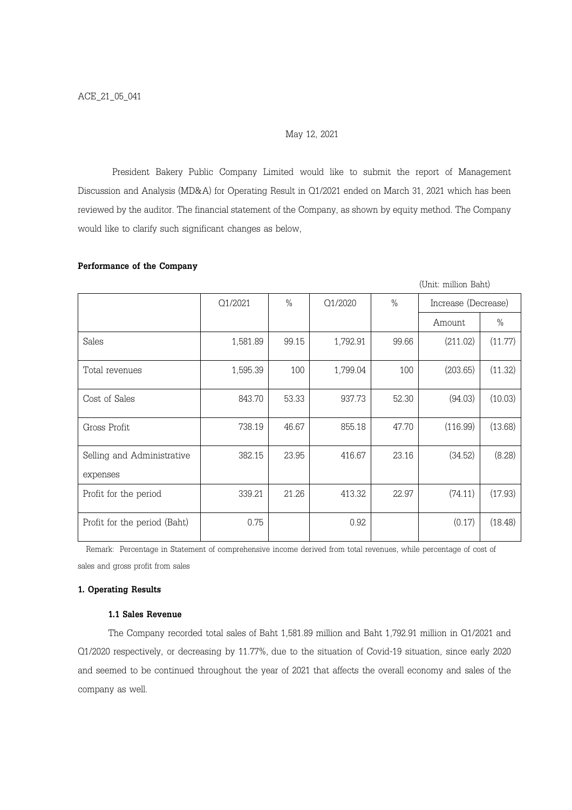## May 12, 2021

President Bakery Public Company Limited would like to submit the report of Management Discussion and Analysis (MD&A) for Operating Result in Q1/2021 ended on March 31, 2021 which has been reviewed by the auditor. The financial statement of the Company, as shown by equity method. The Company would like to clarify such significant changes as below,

# Performance of the Company

|                                        |          |       |          | (Unit: million Baht) |                     |         |
|----------------------------------------|----------|-------|----------|----------------------|---------------------|---------|
|                                        | Q1/2021  | $\%$  | Q1/2020  | $\%$                 | Increase (Decrease) |         |
|                                        |          |       |          |                      | Amount              | $\%$    |
| Sales                                  | 1,581.89 | 99.15 | 1,792.91 | 99.66                | (211.02)            | (11.77) |
| Total revenues                         | 1,595.39 | 100   | 1,799.04 | 100                  | (203.65)            | (11.32) |
| Cost of Sales                          | 843.70   | 53.33 | 937.73   | 52.30                | (94.03)             | (10.03) |
| Gross Profit                           | 738.19   | 46.67 | 855.18   | 47.70                | (116.99)            | (13.68) |
| Selling and Administrative<br>expenses | 382.15   | 23.95 | 416.67   | 23.16                | (34.52)             | (8.28)  |
| Profit for the period                  | 339.21   | 21.26 | 413.32   | 22.97                | (74.11)             | (17.93) |
| Profit for the period (Baht)           | 0.75     |       | 0.92     |                      | (0.17)              | (18.48) |

 Remark: Percentage in Statement of comprehensive income derived from total revenues, while percentage of cost of sales and gross profit from sales

# 1. Operating Results

## 1.1 Sales Revenue

The Company recorded total sales of Baht 1,581.89 million and Baht 1,792.91 million in Q1/2021 and Q1/2020 respectively, or decreasing by 11.77%, due to the situation of Covid-19 situation, since early 2020 and seemed to be continued throughout the year of 2021 that affects the overall economy and sales of the company as well.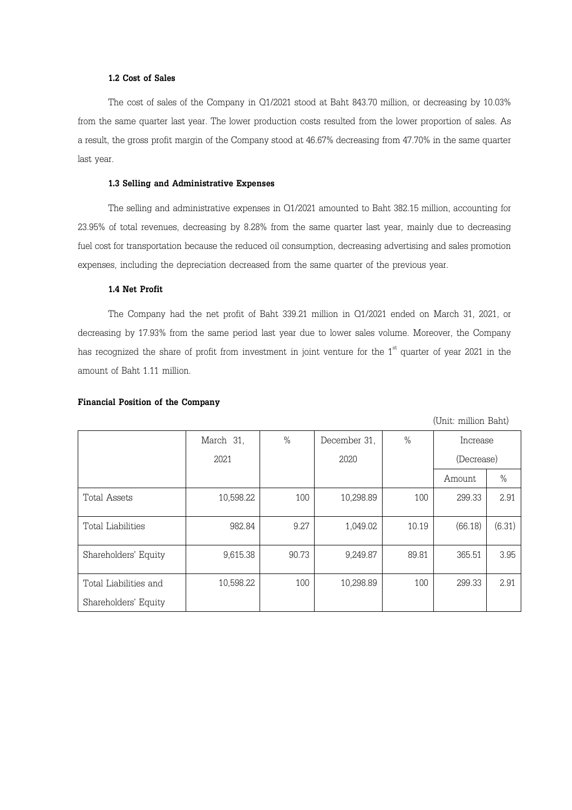## 1.2 Cost of Sales

The cost of sales of the Company in Q1/2021 stood at Baht 843.70 million, or decreasing by 10.03% from the same quarter last year. The lower production costs resulted from the lower proportion of sales. As a result, the gross profit margin of the Company stood at 46.67% decreasing from 47.70% in the same quarter last year.

# 1.3 Selling and Administrative Expenses

The selling and administrative expenses in Q1/2021 amounted to Baht 382.15 million, accounting for 23.95% of total revenues, decreasing by 8.28% from the same quarter last year, mainly due to decreasing fuel cost for transportation because the reduced oil consumption, decreasing advertising and sales promotion expenses, including the depreciation decreased from the same quarter of the previous year.

# 1.4 Net Profit

The Company had the net profit of Baht 339.21 million in Q1/2021 ended on March 31, 2021, or decreasing by 17.93% from the same period last year due to lower sales volume. Moreover, the Company has recognized the share of profit from investment in joint venture for the  $1<sup>st</sup>$  quarter of year 2021 in the amount of Baht 1.11 million.

#### Financial Position of the Company

March 31, 2021 % December 31, 2020 % Increase (Decrease) Amount | % Total Assets 10,598.22 100 10,298.89 100 299.33 2.91 Total Liabilities 982.84 9.27 1,049.02 10.19 (66.18) (6.31) Shareholders' Equity | 9,615.38 90.73 9,249.87 89.81 365.51 3.95 Total Liabilities and Shareholders' Equity 10,598.22 100 10,298.89 100 299.33 2.91

(Unit: million Baht)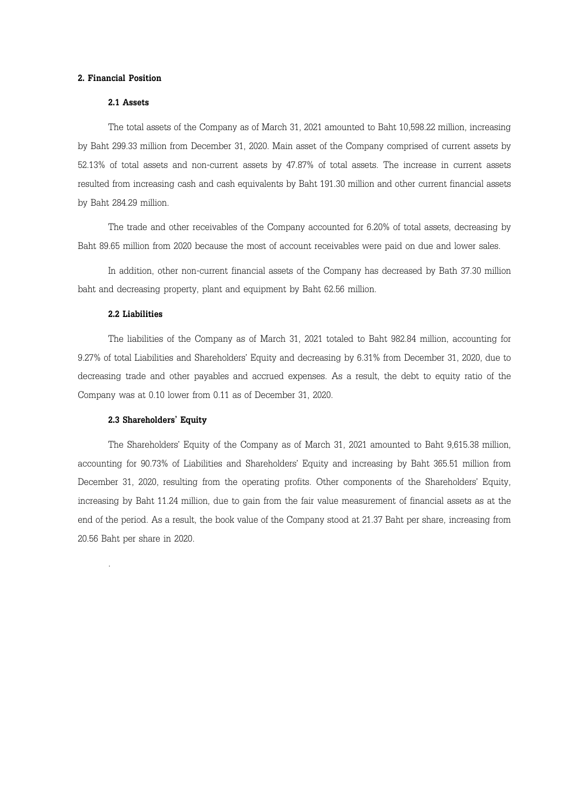#### 2. Financial Position

# 2.1 Assets

The total assets of the Company as of March 31, 2021 amounted to Baht 10,598.22 million, increasing by Baht 299.33 million from December 31, 2020. Main asset of the Company comprised of current assets by 52.13% of total assets and non-current assets by 47.87% of total assets. The increase in current assets resulted from increasing cash and cash equivalents by Baht 191.30 million and other current financial assets by Baht 284.29 million.

The trade and other receivables of the Company accounted for 6.20% of total assets, decreasing by Baht 89.65 million from 2020 because the most of account receivables were paid on due and lower sales.

In addition, other non-current financial assets of the Company has decreased by Bath 37.30 million baht and decreasing property, plant and equipment by Baht 62.56 million.

## 2.2 Liabilities

.

The liabilities of the Company as of March 31, 2021 totaled to Baht 982.84 million, accounting for 9.27% of total Liabilities and Shareholders' Equity and decreasing by 6.31% from December 31, 2020, due to decreasing trade and other payables and accrued expenses. As a result, the debt to equity ratio of the Company was at 0.10 lower from 0.11 as of December 31, 2020.

#### 2.3 Shareholders' Equity

The Shareholders' Equity of the Company as of March 31, 2021 amounted to Baht 9,615.38 million, accounting for 90.73% of Liabilities and Shareholders' Equity and increasing by Baht 365.51 million from December 31, 2020, resulting from the operating profits. Other components of the Shareholders' Equity, increasing by Baht 11.24 million, due to gain from the fair value measurement of financial assets as at the end of the period. As a result, the book value of the Company stood at 21.37 Baht per share, increasing from 20.56 Baht per share in 2020.